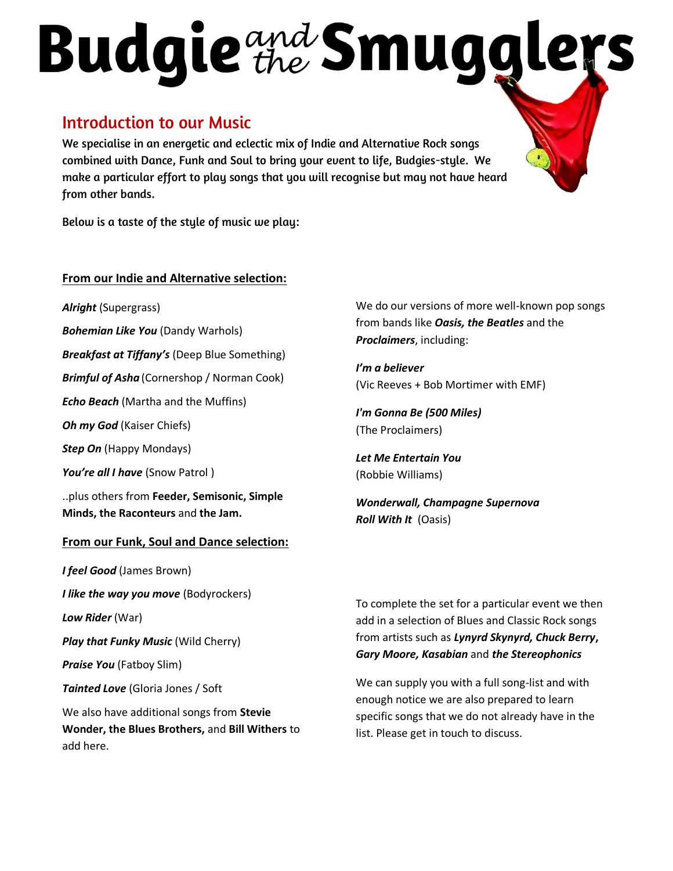# Budgie the Smuggle

### Introduction to our Music

We specialise in an energetic and eclectic mix of Indie and Alternative Rock songs combined with Dance, Funk and Soul to bring your event to life, Budgies-style. We make a particular effort to play songs that you will recognise but may not have heard from other bands.

Below is a taste of the style of music we play:

#### **From our Indie and Alternative selection:**

*Alright* (Supergrass)

*Bohemian Like You* (Dandy Warhols)

*Breakfast at Tiffany's* (Deep Blue Something)

*Brimful of Asha* (Cornershop / Norman Cook)

*Echo Beach* (Martha and the Muffins)

*Oh my God* (Kaiser Chiefs)

*Step On* (Happy Mondays)

*You're all I have* (Snow Patrol )

..plus others from **Feeder, Semisonic, Simple Minds, the Raconteurs** and **the Jam.**

#### **From our Funk, Soul and Dance selection:**

*I feel Good* (James Brown) *I like the way you move* (Bodyrockers) *Low Rider* (War) *Play that Funky Music* (Wild Cherry) *Praise You* (Fatboy Slim) *Tainted Love* (Gloria Jones / Soft We also have additional songs from **Stevie Wonder, the Blues Brothers,** and **Bill Withers** to add here.

We do our versions of more well-known pop songs from bands like *Oasis, the Beatles* and the *Proclaimers*, including:

*I'm a believer* (Vic Reeves + Bob Mortimer with EMF)

*I'm Gonna Be (500 Miles)* (The Proclaimers)

*Let Me Entertain You* (Robbie Williams)

*Wonderwall, Champagne Supernova Roll With It* (Oasis)

To complete the set for a particular event we then add in a selection of Blues and Classic Rock songs from artists such as *Lynyrd Skynyrd, Chuck Berry***,**  *Gary Moore, Kasabian* and *the Stereophonics*

We can supply you with a full song-list and with enough notice we are also prepared to learn specific songs that we do not already have in the list. Please get in touch to discuss.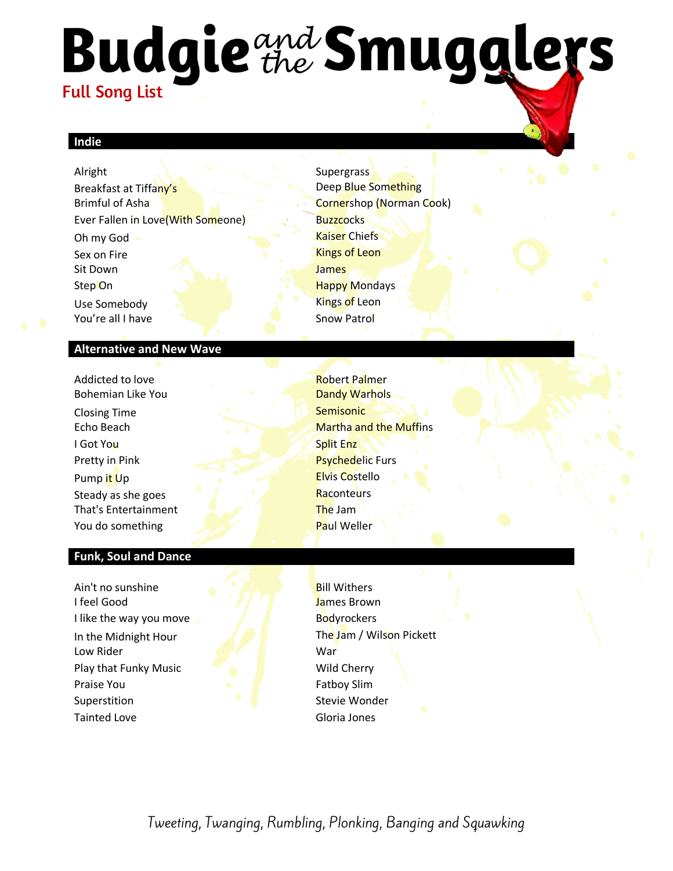## **Budgie** the Smugglers Full Song List

#### **Indie**

Alright Supergrass Breakfast at Tiffany's **Example 20 Something** Deep Blue Something Brimful of Asha Cornershop (Norman Cook) Ever Fallen in Love(With Someone) Buzzcocks Oh my God Kaiser Chiefs Sex on Fire Kings of Leon Sit Down James **Step On Happy Mondays** Use Somebody **Contact Contact Contact Contact Contact Contact Contact Contact Contact Contact Contact Contact Contact Contact Contact Contact Contact Contact Contact Contact Contact Contact Contact Contact Contact Contact** You're all I have Snow Patrol

#### **Alternative and New Wave**

Addicted to love and the control of the Robert Palmer Bohemian Like You Dandy Warhols Closing Time Semisonic Closing Time I Got You Split Enz Pretty in Pink Psychedelic Furs Pump it Up **Elvis Costello** Steady as she goes Raconteurs That's Entertainment The Jam You do something Paul Weller

#### **Funk, Soul and Dance**

Ain't no sunshine Bill Withers I feel Good James Brown I like the way you move **Bodyrockers** In the Midnight Hour The Jam / Wilson Pickett Low Rider War Play that Funky Music Wild Cherry **Praise You Fatboy Slim** Superstition Superstition Stevie Wonder Tainted Love **Gloria** Jones

**Echo Beach** Martha and the Muffins

Tweeting, Twanging, Rumbling, Plonking, Banging and Squawking